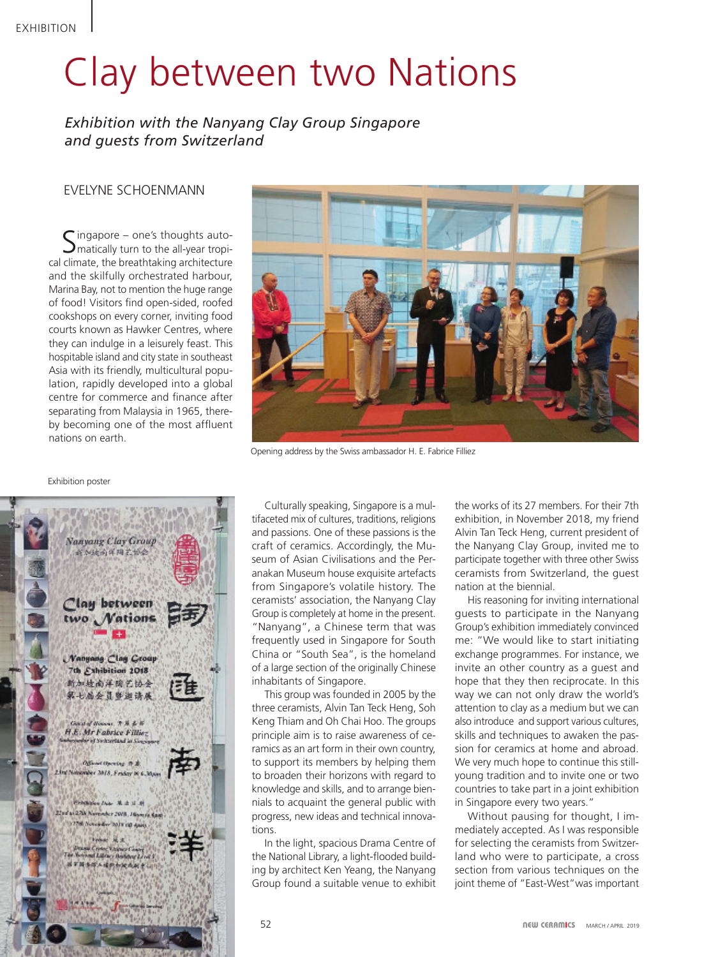## Clay between two Nations

*Exhibition with the Nanyang Clay Group Singapore and guests from Switzerland*

## Evelyne Schoenmann

Singapore – one's thoughts auto-matically turn to the all-year tropical climate, the breathtaking architecture and the skilfully orchestrated harbour, Marina Bay, not to mention the huge range of food! Visitors find open-sided, roofed cookshops on every corner, inviting food courts known as Hawker Centres, where they can indulge in a leisurely feast. This hospitable island and city state in southeast Asia with its friendly, multicultural population, rapidly developed into a global centre for commerce and finance after separating from Malaysia in 1965, thereby becoming one of the most affluent nations on earth.



Opening address by the Swiss ambassador H. E. Fabrice Filliez

Culturally speaking, Singapore is a multifaceted mix of cultures, traditions, religions and passions. One of these passions is the craft of ceramics. Accordingly, the Museum of Asian Civilisations and the Peranakan Museum house exquisite artefacts from Singapore's volatile history. The ceramists' association, the Nanyang Clay Group is completely at home in the present. "Nanyang", a Chinese term that was frequently used in Singapore for South China or "South Sea", is the homeland of a large section of the originally Chinese inhabitants of Singapore.

This group was founded in 2005 by the three ceramists, Alvin Tan Teck Heng, Soh Keng Thiam and Oh Chai Hoo. The groups principle aim is to raise awareness of ceramics as an art form in their own country, to support its members by helping them to broaden their horizons with regard to knowledge and skills, and to arrange biennials to acquaint the general public with progress, new ideas and technical innovations.

In the light, spacious Drama Centre of the National Library, a light-flooded building by architect Ken Yeang, the Nanyang Group found a suitable venue to exhibit

the works of its 27 members. For their 7th exhibition, in November 2018, my friend Alvin Tan Teck Heng, current president of the Nanyang Clay Group, invited me to participate together with three other Swiss ceramists from Switzerland, the guest nation at the biennial.

His reasoning for inviting international guests to participate in the Nanyang Group's exhibition immediately convinced me: "We would like to start initiating exchange programmes. For instance, we invite an other country as a guest and hope that they then reciprocate. In this way we can not only draw the world's attention to clay as a medium but we can also introduce and support various cultures, skills and techniques to awaken the passion for ceramics at home and abroad. We very much hope to continue this stillyoung tradition and to invite one or two countries to take part in a joint exhibition in Singapore every two years."

Without pausing for thought, I immediately accepted. As I was responsible for selecting the ceramists from Switzerland who were to participate, a cross section from various techniques on the joint theme of "East-West"was important

## Exhibition poster